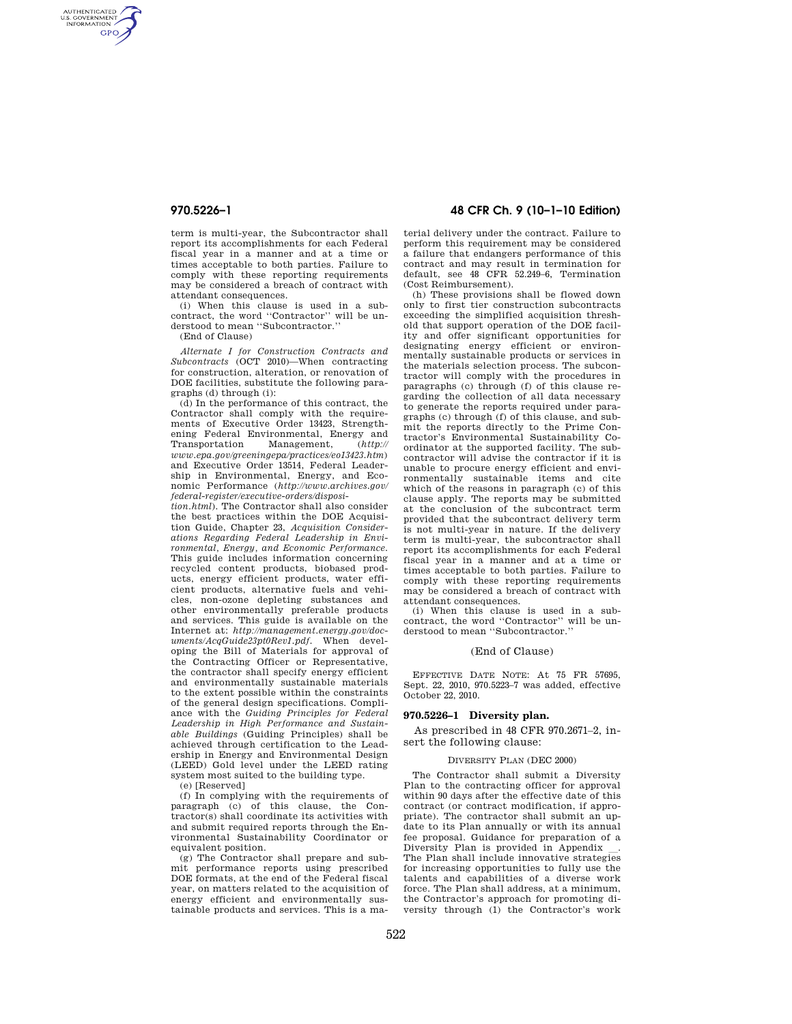AUTHENTICATED<br>U.S. GOVERNMENT<br>INFORMATION **GPO** 

> term is multi-year, the Subcontractor shall report its accomplishments for each Federal fiscal year in a manner and at a time or times acceptable to both parties. Failure to comply with these reporting requirements may be considered a breach of contract with attendant consequences.

> (i) When this clause is used in a subcontract, the word ''Contractor'' will be understood to mean ''Subcontractor.''

(End of Clause)

*Alternate I for Construction Contracts and Subcontracts* (OCT 2010)—When contracting for construction, alteration, or renovation of DOE facilities, substitute the following paragraphs (d) through (i):

(d) In the performance of this contract, the Contractor shall comply with the requirements of Executive Order 13423, Strengthening Federal Environmental, Energy and<br>Transportation Management,  $(http://$ Transportation Management, (*http:// www.epa.gov/greeningepa/practices/eo13423.htm*) and Executive Order 13514, Federal Leadership in Environmental, Energy, and Economic Performance (*http://www.archives.gov/ federal-register/executive-orders/disposi-*

*tion.html*). The Contractor shall also consider the best practices within the DOE Acquisition Guide, Chapter 23, *Acquisition Considerations Regarding Federal Leadership in Environmental, Energy, and Economic Performance.*  This guide includes information concerning recycled content products, biobased products, energy efficient products, water efficient products, alternative fuels and vehicles, non-ozone depleting substances and other environmentally preferable products and services. This guide is available on the Internet at: *http://management.energy.gov/documents/AcqGuide23pt0Rev1.pdf.* When developing the Bill of Materials for approval of the Contracting Officer or Representative, the contractor shall specify energy efficient and environmentally sustainable materials to the extent possible within the constraints of the general design specifications. Compliance with the *Guiding Principles for Federal Leadership in High Performance and Sustainable Buildings* (Guiding Principles) shall be achieved through certification to the Leadership in Energy and Environmental Design (LEED) Gold level under the LEED rating system most suited to the building type.

(e) [Reserved]

(f) In complying with the requirements of paragraph (c) of this clause, the Contractor(s) shall coordinate its activities with and submit required reports through the Environmental Sustainability Coordinator or equivalent position.

(g) The Contractor shall prepare and submit performance reports using prescribed DOE formats, at the end of the Federal fiscal year, on matters related to the acquisition of energy efficient and environmentally sustainable products and services. This is a ma-

# **970.5226–1 48 CFR Ch. 9 (10–1–10 Edition)**

terial delivery under the contract. Failure to perform this requirement may be considered a failure that endangers performance of this contract and may result in termination for default, see 48 CFR 52.249–6, Termination (Cost Reimbursement).

(h) These provisions shall be flowed down only to first tier construction subcontracts exceeding the simplified acquisition threshold that support operation of the DOE facility and offer significant opportunities for designating energy efficient or environmentally sustainable products or services in the materials selection process. The subcontractor will comply with the procedures in paragraphs (c) through (f) of this clause regarding the collection of all data necessary to generate the reports required under paragraphs (c) through (f) of this clause, and submit the reports directly to the Prime Contractor's Environmental Sustainability Coordinator at the supported facility. The subcontractor will advise the contractor if it is unable to procure energy efficient and environmentally sustainable items and cite which of the reasons in paragraph (c) of this clause apply. The reports may be submitted at the conclusion of the subcontract term provided that the subcontract delivery term is not multi-year in nature. If the delivery term is multi-year, the subcontractor shall report its accomplishments for each Federal fiscal year in a manner and at a time or times acceptable to both parties. Failure to comply with these reporting requirements may be considered a breach of contract with attendant consequences.

(i) When this clause is used in a subcontract, the word ''Contractor'' will be understood to mean ''Subcontractor.''

## (End of Clause)

EFFECTIVE DATE NOTE: At 75 FR 57695, Sept. 22, 2010, 970.5223–7 was added, effective October 22, 2010.

## **970.5226–1 Diversity plan.**

As prescribed in 48 CFR 970.2671–2, insert the following clause:

#### DIVERSITY PLAN (DEC 2000)

The Contractor shall submit a Diversity Plan to the contracting officer for approval within 90 days after the effective date of this contract (or contract modification, if appropriate). The contractor shall submit an update to its Plan annually or with its annual fee proposal. Guidance for preparation of a Diversity Plan is provided in Appendix The Plan shall include innovative strategies for increasing opportunities to fully use the talents and capabilities of a diverse work force. The Plan shall address, at a minimum, the Contractor's approach for promoting diversity through (1) the Contractor's work